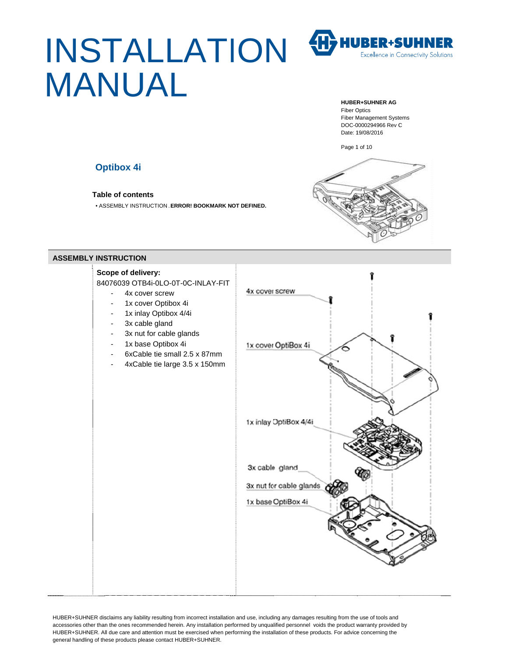# INSTALLATION **MANUAL**

H>HUBER+SUHNER **Excellence in Connectivity Solutions** 

#### **HUBER+SUHNER AG**

**Fiber Optics Fiber Management Systems** DOC-0000294966 Rev C Date: 19/08/2016

Page 1 of 10

## **Optibox 4i**

**Table of contents** 

• ASSEMBLY INSTRUCTION . ERROR! BOOKMARK NOT DEFINED.



### **ASSEMBLY INSTRUCTION**

## Scope of delivery:

84076039 OTB4i-0LO-0T-0C-INLAY-FIT

- 4x cover screw
- 1x cover Optibox 4i
- 1x inlay Optibox 4/4i
- 3x cable gland
- 3x nut for cable glands
- 1x base Optibox 4i
- 6xCable tie small 2.5 x 87mm
- 4xCable tie large 3.5 x 150mm

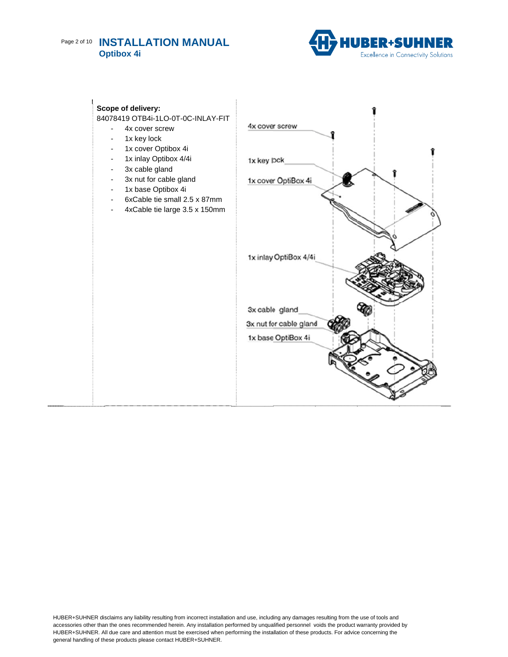# Page 2 of 10 INSTALLATION MANUAL **Optibox 4i**



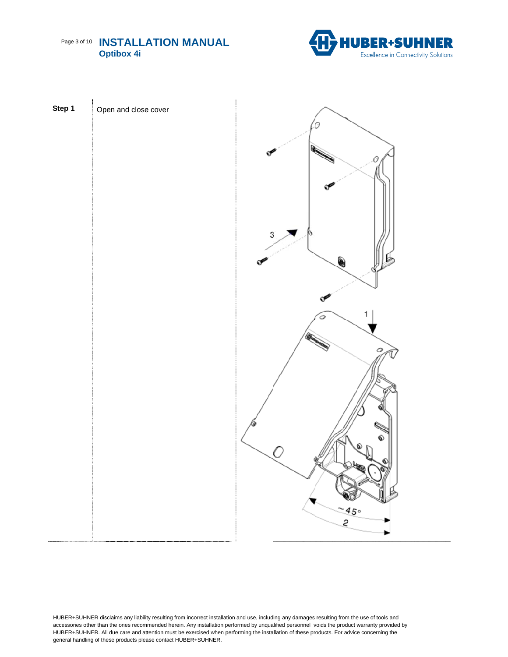



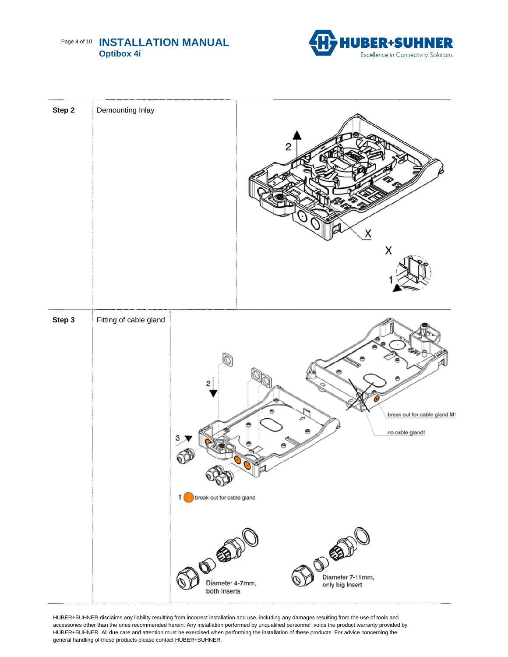# Page 4 of 10 INSTALLATION MANUAL **Optibox 4i**



| Step 2 | Demounting Inlay       |                                                                            |        | 2    | X<br>Χ                                                 |                              |
|--------|------------------------|----------------------------------------------------------------------------|--------|------|--------------------------------------------------------|------------------------------|
| Step 3 | Fitting of cable gland | break out for cable gland<br>11<br>BOST<br>Diameter 4-7mm,<br>both Inserts | అ<br>₩ | ROSE | no cable gland!<br>Diameter 7-11mm,<br>only big Insert | break out for cable gland M1 |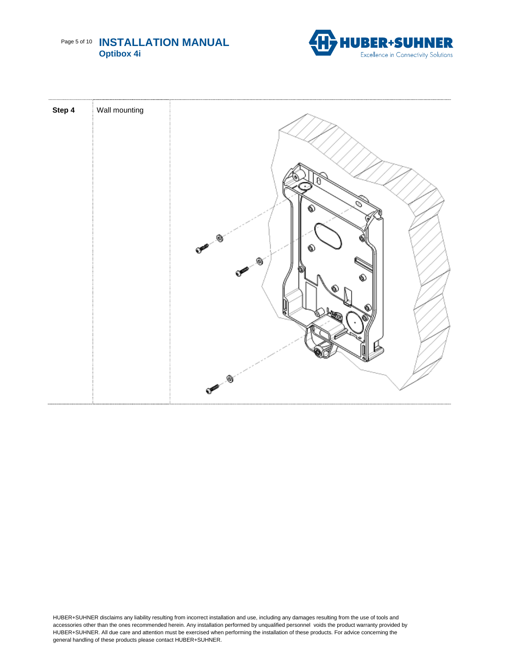



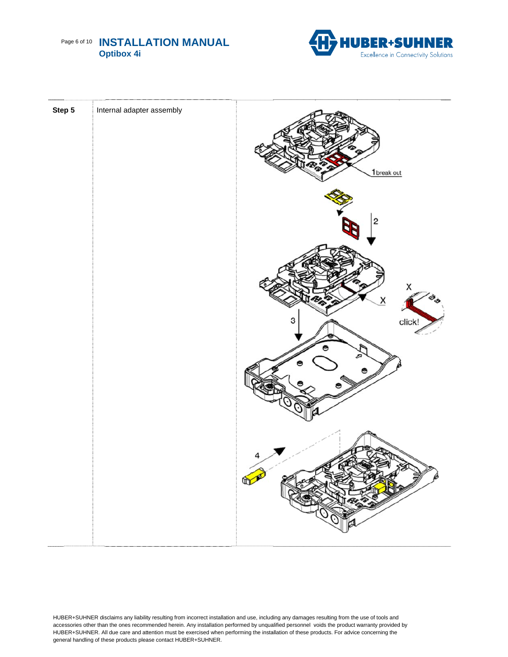



| Step 5 | Internal adapter assembly | 1 break out                       |
|--------|---------------------------|-----------------------------------|
|        |                           | $\overline{\mathbf{c}}$           |
|        |                           | X<br>$\times$<br>click!<br>з<br>e |
|        |                           |                                   |
|        |                           | 4<br>DE<br>W<br>p<br>N 2          |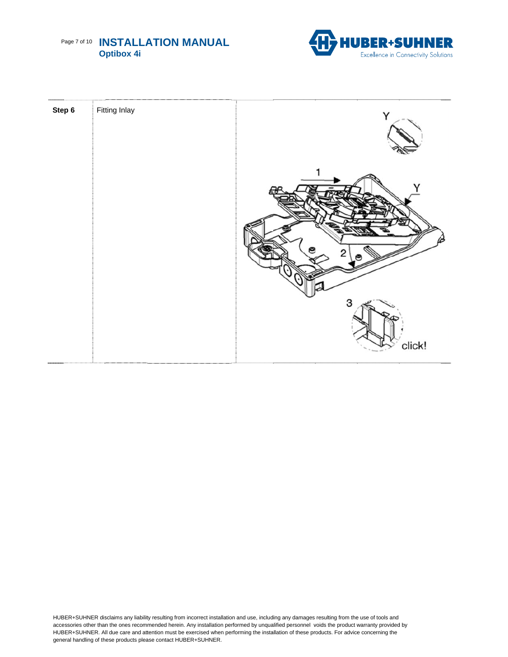



| Step 6 | <b>Fitting Inlay</b> | Y           |
|--------|----------------------|-------------|
|        |                      | 3<br>click! |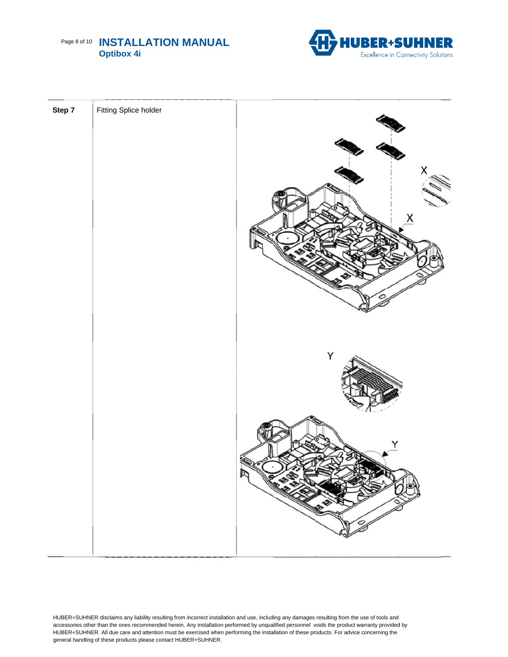# Page 8 of 10 INSTALLATION MANUAL **Optibox 4i**



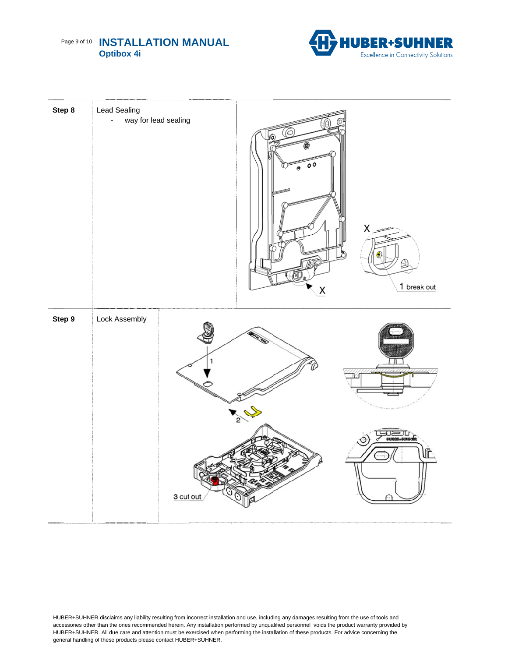## Page 9 of 10 INSTALLATION MANUAL **Optibox 4i**



| Step 8 | <b>Lead Sealing</b><br>way for lead sealing<br>L, |                | سسية X<br>$1$ break out $% \left\vert \left( \mathbf{1}_{1},\mathbf{2}_{2}\right) \right\rangle$<br>$\overline{\mathsf{x}}$ |  |
|--------|---------------------------------------------------|----------------|-----------------------------------------------------------------------------------------------------------------------------|--|
| Step 9 | Lock Assembly                                     | 1<br>3 cut out |                                                                                                                             |  |